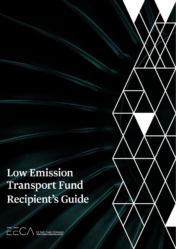**Low Emission** Transport Fund Recipient's Guide

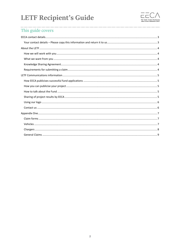

## This guide covers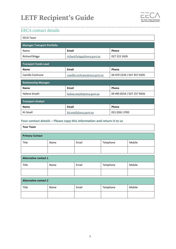

## <span id="page-2-0"></span>EECA contact details

| <b>EECA Team</b>                   |                               |                            |  |  |  |
|------------------------------------|-------------------------------|----------------------------|--|--|--|
| <b>Manager Transport Portfolio</b> |                               |                            |  |  |  |
| Name                               | <b>Email</b>                  | Phone                      |  |  |  |
| <b>Richard Briggs</b>              | richard.briggs@eeca.govt.nz   | 027 222 2426               |  |  |  |
| <b>Transport Funds Lead</b>        |                               |                            |  |  |  |
| <b>Name</b>                        | <b>Email</b>                  | Phone                      |  |  |  |
| Camilla Cochrane                   | camilla.cochrane@eeca.govt.nz | 04 470 2229 / 027 457 0205 |  |  |  |
| <b>Relationship Manager</b>        |                               |                            |  |  |  |
| <b>Name</b>                        | Email                         | Phone                      |  |  |  |
| Helene Smyth                       | helene.smyth@eeca.govt.nz     | 04 495 8254 / 027 257 9426 |  |  |  |
| <b>Transport Analyst</b>           |                               |                            |  |  |  |
| <b>Name</b>                        | Email                         | Phone                      |  |  |  |
| Kii Small                          | kii.small@eeca.govt.nz        | 021 0261 3783              |  |  |  |

### <span id="page-2-1"></span>**Your contact details – Please copy this information and return it to us**

| <b>Your Team</b>             |      |       |           |        |
|------------------------------|------|-------|-----------|--------|
| <b>Primary Contact</b>       |      |       |           |        |
| Title                        | Name | Email | Telephone | Mobile |
|                              |      |       |           |        |
| <b>Alternative contact 1</b> |      |       |           |        |

| Title | Name | Email | Telephone | Mobile |
|-------|------|-------|-----------|--------|
|       |      |       |           |        |
|       |      |       |           |        |

<span id="page-2-2"></span>

| Alternative contact 2 |      |       |           |        |
|-----------------------|------|-------|-----------|--------|
| Title                 | Name | Email | Telephone | Mobile |
|                       |      |       |           |        |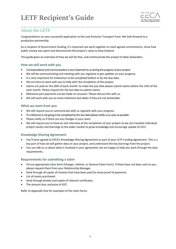

### About the LETF

Congratulations on your successful application to the Low Emission Transport Fund. We look forward to a productive partnership.

As a recipient of Government funding, it's important we work together to meet agreed commitments, show how public money was spent and demonstrate the project's value to New Zealand.

This guide gives an overview of how we will do that, and communicate the project to New Zealanders.

#### <span id="page-3-0"></span>**How we will work with you**

- Correspondence and communication is very important to us during the progress of your project.
- We will be communicating and meeting with you regularly to get updates on your progress.
- It is very important for milestones to be completed before or by the due date.
- We are here to work with you to help with the completion of the project.
- Claims are paid on the 20th of each month: to make the pay date please submit claims before the 15th of the each month. Please enquire for the last date to submit claims.
- Milestone part payments can be made on occasion. Please discuss this with us.
- We will work with you to move milestone due dates if they are not achievable.

#### <span id="page-3-1"></span>**What we want from you**

- We will require you to communicate with us regularly with your progress.
- If a milestone is not going to be completed by the due date please notify us as soon as possible.
- Please notify us if there are any changes in your team.
- We will require you to have an exit interview at the completion of your project so we can translate individual project results and learnings to the wider market to grow knowledge and encourage uptake of LEVs.

#### <span id="page-3-2"></span>**Knowledge Sharing Agreement**

- You'll have agreed to EECA's Knowledge Sharing Agreement as part of your LETF Funding Agreement. This is a key part of how we will gather data on your project, and understand the key learnings from the project.
- You can talk to us about what is involved in your agreement; we are happy to help you work through the data requirements.

#### <span id="page-3-3"></span>**Requirements for submitting a claim**

- Fill out appropriate claim form (Charger, Vehicle, or General Claim Form). If these have not been sent to you, please request them from your Relationship Manager.
- Send through all copies of invoices that have been paid (to show proof of payment).
- List all assets purchased.
- Send through photos and copies of relevant certificates.
- The amount due, exclusive of GST.

Refer to Appendix One for examples of the claim forms.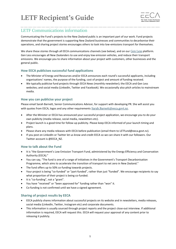

### <span id="page-4-0"></span>LETF Communications information

Communicating the Fund's projects to the New Zealand public is an important part of our work. Fund projects demonstrate that the government is supporting New Zealand businesses and communities to decarbonise their operations, and sharing project stories encourages others to look into low-emissions transport for themselves.

We share these stories through all EECA communications channels (see below), and on our [Gen Less](http://www.genless.govt.nz/) platform. Gen Less encourages all New Zealanders to use and enjoy low emission vehicles, and reduce their transport emissions. We encourage you to share information about your project with customers, other businesses and the general public.

### <span id="page-4-1"></span>**How EECA publicises successful fund applications**

- The Minister of Energy and Resources and/or EECA announces each round's successful applicants, including organisations' names, the purpose of the funding, cost of project and amount of funding received.
- We typically publicise fund projects through [EECA News](https://www.eeca.govt.nz/news-and-events/newsletters/) (monthly newsletter); the EECA [and Gen Less](https://www.eeca.govt.nz/funding-and-support/low-emission-vehicles-contestable-fund/low-emission-vehicles-contestable-fund-successful-projects/) [websites](https://www.eeca.govt.nz/funding-and-support/low-emission-vehicles-contestable-fund/low-emission-vehicles-contestable-fund-successful-projects/); and social media (LinkedIn, Twitter and Facebook). We occasionally also pitch articles to mainstream media.

#### <span id="page-4-2"></span>**How you can publicise your project**

Please email Sarah Barnett, Senior Communications Advisor, for support with developing PR. She will assist you with quotes from EECA, logos and any other requirements [Sarah.Barnett@eeca.govt.nz](mailto:Sarah.Barnett@eeca.govt.nz).

- After the Minister or EECA has announced your successful project application, we encourage you to do your own publicity (media release, social media, newsletters etc).
- Project launch is a good time for follow-up publicity. Please keep EECA informed of your launch timing and plans.
- Please share any media releases with EECA before publication (email them to [LETFund@eeca.govt.nz\)](mailto:LETFund@eeca.govt.nz).
- If you post on LinkedIn or Twitter let us know and credit EECA so we can share it with our followers. Our Twitter account is @EECA\_NZ.

#### <span id="page-4-3"></span>**How to talk about the Fund**

- It is "the Government's Low Emission Transport Fund, administered by the Energy Efficiency and Conservation Authority (EECA)."
- You can say, "The fund is one of a range of initiatives in the Government's Transport Decarbonisation Programme, which aims to accelerate the transition of transport to net zero in New Zealand."
- The fund offers up to 50% co-funding towards projects.
- Your project is being "co-funded" or "part-funded", rather than just "funded". We encourage recipients to say what proportion of their project is being co-funded.
- It is "co-funding", not a "grant".
- You have "received" or "been approved for" funding rather than "won" it.
- Co-funding is not confirmed until we have a signed agreement.

### <span id="page-4-4"></span>**Sharing of project results by EECA**

- EECA publicly shares information about successful projects on its website and in newsletters, media releases, social media (LinkedIn, Twitter, Instagram etc) and corporate documents.
- This information is usually sourced through project reports and the project close-out interview. If additional information is required, EECA will request this. EECA will request your approval of any content prior to releasing it publicly.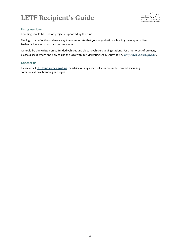

#### <span id="page-5-0"></span>**Using our logo**

Branding should be used on projects supported by the fund.

The logo is an effective and easy way to communicate that your organisation is leading the way with New Zealand's low emissions transport movement.

It should be sign written on co-funded vehicles and electric vehicle charging stations. For other types of projects, please discuss where and how to use the logo with our Marketing Lead, LeRoy Boyle, leroy.boyle@eeca.govt.nz.

#### <span id="page-5-1"></span>**Contact us**

Please email [LETFund@eeca.govt.nz](mailto:LETFund@eeca.govt.nz) for advice on any aspect of your co-funded project including communications, branding and logos.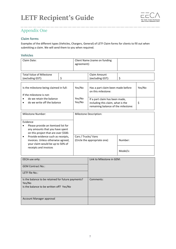

## <span id="page-6-0"></span>Appendix One

### <span id="page-6-1"></span>**Claim forms**

Examples of the different types (Vehicles, Chargers, General) of LETF Claim forms for clients to fill out when submitting a claim. We will send them to you when required.

### <span id="page-6-2"></span>**Vehicles**

<span id="page-6-3"></span>

| Claim Date:                                                                                                                                                                                                                                                                                                          |    | agreement):                  | Client Name (name on funding                                                              |    |        |
|----------------------------------------------------------------------------------------------------------------------------------------------------------------------------------------------------------------------------------------------------------------------------------------------------------------------|----|------------------------------|-------------------------------------------------------------------------------------------|----|--------|
| <b>Total Value of Milestone</b><br>(excluding GST):                                                                                                                                                                                                                                                                  | \$ |                              | Claim Amount<br>(excluding GST):                                                          | \$ |        |
| Is the milestone being claimed in full:<br>If the milestone is not:<br>do we retain the balance                                                                                                                                                                                                                      |    | Yes/No<br>Yes/No             | Has a part claim been made before<br>on this milestone:<br>If a part claim has been made, |    | Yes/No |
| do we write off the balance                                                                                                                                                                                                                                                                                          |    | Yes/No                       | including this claim, what is the<br>remaining balance of the milestone:                  |    | \$     |
| <b>Milestone Number:</b>                                                                                                                                                                                                                                                                                             |    |                              | Milestone Description:                                                                    |    |        |
| Evidence<br>Please provide an itemised list for<br>$\bullet$<br>any amounts that you have spent<br>on this project that are over \$500.<br>Cars / Trucks/ Vans<br>Provide evidence such as receipts,<br>$\bullet$<br>invoices. Unless otherwise agreed,<br>your claim would be up to 50% of<br>receipts and invoices |    | (Circle the appropriate one) | Number:<br>Model/s:                                                                       |    |        |
| EECA use only:                                                                                                                                                                                                                                                                                                       |    |                              | Link to Milestone in GEM:                                                                 |    |        |
| <b>GEM Contract No.:</b>                                                                                                                                                                                                                                                                                             |    |                              |                                                                                           |    |        |
| LETF file No.:                                                                                                                                                                                                                                                                                                       |    |                              |                                                                                           |    |        |
| Is the balance to be retained for future payments?<br>Yes/No<br>Is the balance to be written off? Yes/No                                                                                                                                                                                                             |    |                              | Comments:                                                                                 |    |        |
| Account Manager approval                                                                                                                                                                                                                                                                                             |    |                              |                                                                                           |    |        |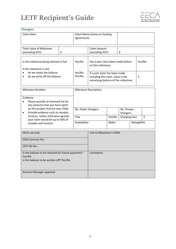

<span id="page-7-0"></span>

| <b>Chargers</b>                                                                                                                |    |                      |                                                                                                                                                                                           |        |                          |             |        |
|--------------------------------------------------------------------------------------------------------------------------------|----|----------------------|-------------------------------------------------------------------------------------------------------------------------------------------------------------------------------------------|--------|--------------------------|-------------|--------|
| Claim Date:                                                                                                                    |    |                      | Client Name (name on funding<br>agreement):                                                                                                                                               |        |                          |             |        |
| <b>Total Value of Milestone</b><br>(excluding GST):                                                                            | \$ |                      | Claim Amount<br>(excluding GST):                                                                                                                                                          | \$     |                          |             |        |
| Is the milestone being claimed in full:<br>If the milestone is not:<br>do we retain the balance<br>do we write off the balance |    | Yes/No               | Has a part claim been made before<br>on this milestone:<br>Yes/No<br>If a part claim has been made,<br>Yes/No<br>including this claim, what is the<br>remaining balance of the milestone: |        | \$                       |             | Yes/No |
|                                                                                                                                |    |                      |                                                                                                                                                                                           |        |                          |             |        |
| <b>Milestone Number:</b>                                                                                                       |    |                      | Milestone Description:                                                                                                                                                                    |        |                          |             |        |
| Evidence<br>Please provide an itemised list for<br>$\bullet$<br>any amounts that you have spent                                |    |                      |                                                                                                                                                                                           |        |                          |             |        |
| on this project that are over \$500.<br>Provide evidence such as receipts,<br>$\bullet$                                        |    | No. Public Chargers: |                                                                                                                                                                                           |        | No. Private<br>Chargers: |             |        |
| invoices. Unless otherwise agreed,                                                                                             |    | Free                 |                                                                                                                                                                                           | Yes/No | <b>Charging Cost</b>     |             | \$     |
| your claim would be up to 50% of<br>receipts and invoices                                                                      |    | Availability:        |                                                                                                                                                                                           | Make:  |                          | Rating(kW): |        |
| EECA use only:                                                                                                                 |    |                      | Link to Milestone in GEM:                                                                                                                                                                 |        |                          |             |        |
| <b>GEM Contract No.:</b>                                                                                                       |    |                      |                                                                                                                                                                                           |        |                          |             |        |
| LETF file No.:                                                                                                                 |    |                      |                                                                                                                                                                                           |        |                          |             |        |
| Is the balance to be retained for future payments?<br>Yes/No<br>Is the balance to be written off? Yes/No                       |    | Comments:            |                                                                                                                                                                                           |        |                          |             |        |
| Account Manager approval                                                                                                       |    |                      |                                                                                                                                                                                           |        |                          |             |        |